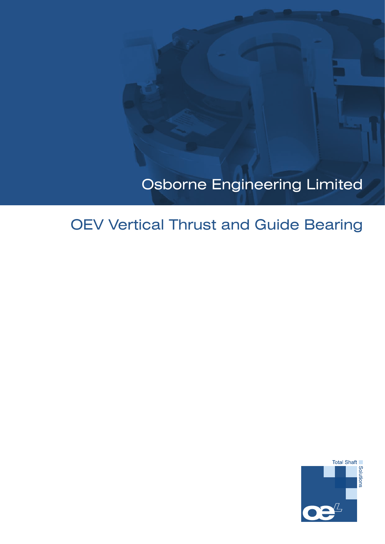# Osborne Engineering Limited

# OEV Vertical Thrust and Guide Bearing

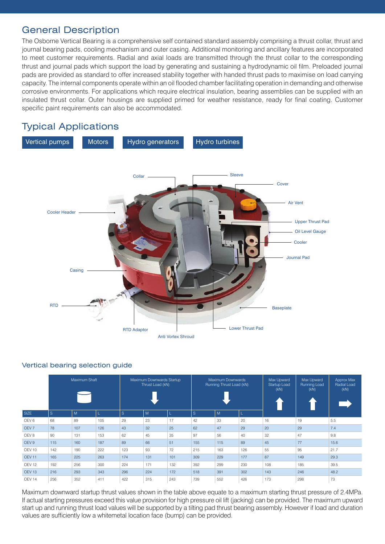# General Description

The Osborne Vertical Bearing is a comprehensive self contained standard assembly comprising a thrust collar, thrust and journal bearing pads, cooling mechanism and outer casing. Additional monitoring and ancillary features are incorporated to meet customer requirements. Radial and axial loads are transmitted through the thrust collar to the corresponding thrust and journal pads which support the load by generating and sustaining a hydrodynamic oil film. Preloaded journal pads are provided as standard to offer increased stability together with handed thrust pads to maximise on load carrying capacity. The internal components operate within an oil flooded chamber facilitating operation in demanding and otherwise corrosive environments. For applications which require electrical insulation, bearing assemblies can be supplied with an insulated thrust collar. Outer housings are supplied primed for weather resistance, ready for final coating. Customer specific paint requirements can also be accommodated.

# Typical Applications



# Vertical bearing selection guide

|                   | Maximum Shaft |     |     |                         | Maximum Downwards Startup<br>Thrust Load (kN) |     |                   | Maximum Downwards<br>Running Thrust Load (kN) |     | Max Upward<br>Startup Load<br>(KN) | Max Upward<br>Running Load<br>(kN) | Approx Max<br>Radial Load<br>(kN) |  |
|-------------------|---------------|-----|-----|-------------------------|-----------------------------------------------|-----|-------------------|-----------------------------------------------|-----|------------------------------------|------------------------------------|-----------------------------------|--|
| SIZE              | <sub>S</sub>  | M   |     | <sub>S</sub><br>M<br>L. |                                               |     | <sub>S</sub><br>M |                                               |     |                                    |                                    |                                   |  |
| OEV <sub>6</sub>  | 68            | 89  | 105 | 29                      | 23                                            | 17  | 42                | 33                                            | 20  | 16                                 | 19                                 | 5.5                               |  |
| OEV <sub>7</sub>  | 78            | 107 | 126 | 43                      | 32                                            | 25  | 62                | 47                                            | 29  | 20                                 | 29                                 | 7.4                               |  |
| OEV <sub>8</sub>  | 90            | 131 | 153 | 62                      | 45                                            | 35  | 97                | 56                                            | 40  | 32                                 | 47                                 | 9.8                               |  |
| OEV <sub>9</sub>  | 115           | 160 | 187 | 89                      | 66                                            | 51  | 155               | 115                                           | 89  | 45                                 | 77                                 | 15.6                              |  |
| OEV 10            | 142           | 190 | 222 | 123                     | 93                                            | 72  | 215               | 163                                           | 126 | 55                                 | 95                                 | 21.7                              |  |
| <b>OEV 11</b>     | 165           | 225 | 263 | 174                     | 131                                           | 101 | 309               | 229                                           | 177 | 87                                 | 149                                | 29.3                              |  |
| OEV <sub>12</sub> | 192           | 256 | 300 | 224                     | 171                                           | 132 | 392               | 299                                           | 230 | 108                                | 185                                | 39.5                              |  |
| OEV <sub>13</sub> | 216           | 293 | 343 | 296                     | 224                                           | 172 | 518               | 391                                           | 302 | 143                                | 246                                | 48.2                              |  |
| OEV <sub>14</sub> | 256           | 352 | 411 | 422                     | 315                                           | 243 | 739               | 552                                           | 426 | 173                                | 298                                | 73                                |  |

Maximum downward startup thrust values shown in the table above equate to a maximum starting thrust pressure of 2.4MPa. If actual starting pressures exceed this value provision for high pressure oil lift (jacking) can be provided. The maximum upward start up and running thrust load values will be supported by a tilting pad thrust bearing assembly. However if load and duration values are sufficiently low a whitemetal location face (bump) can be provided.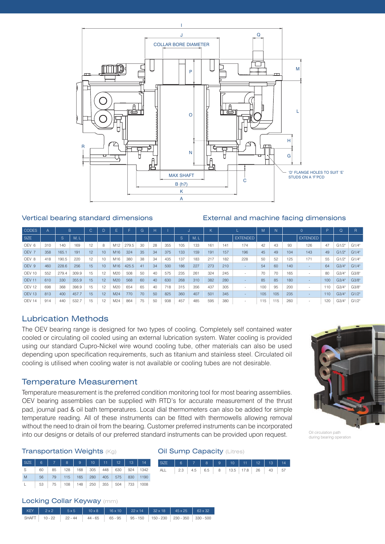

#### Vertical bearing standard dimensions External and machine facing dimensions

| <b>CODES</b>      |     |       | B.    | $\sim$<br>U |    |                 |       | G  | н  |     |     |      | K   |     |                 | M   | N   |     |                 | P   | O                 |       |
|-------------------|-----|-------|-------|-------------|----|-----------------|-------|----|----|-----|-----|------|-----|-----|-----------------|-----|-----|-----|-----------------|-----|-------------------|-------|
| SIZE              |     | S.    | M, L  |             |    |                 |       |    |    |     | S.  | M, L |     |     | <b>EXTENDED</b> |     |     |     | <b>EXTENDED</b> |     |                   |       |
| OEV <sub>6</sub>  | 310 | 140   | 169   | 12          |    | M <sub>12</sub> | 279.5 | 30 | 28 | 355 | 105 | 133  | 161 | 141 | 174             | 42  | 43  | 93  | 126             | 47  | G1/2"             | G1/4" |
| OEV <sub>7</sub>  | 358 | 165.1 | 191   | 12          | 10 | M <sub>16</sub> | 324   | 35 | 34 | 375 | 133 | 159  | 191 | 157 | 196             | 45  | 49  | 104 | 143             | 49  | G1/2 <sup>n</sup> | G1/4" |
| OEV 8             | 418 | 190.5 | 220   | 12          | 10 | M16             | 380   | 38 | 34 | 435 | 137 | 183  | 217 | 182 | 228             | 50  | 52  | 125 | 171             | 55  | G1/2"             | G1/4" |
| OEV <sub>9</sub>  | 460 | 228.6 | 256   | 15          | 10 | M <sub>16</sub> | 425.5 | 41 | 34 | 500 | 186 | 227  | 273 | 210 |                 | 54  | 60  | 140 |                 | 64  | G3/4"             | G1/4" |
| OEV 10            | 552 | 279.4 | 309.9 | 15          | 12 | M20             | 508   | 50 | 40 | 575 | 235 | 261  | 324 | 245 |                 | 70  | 70  | 165 |                 | 80  | G3/4"             | G3/8" |
| <b>OEV 11</b>     | 610 | 330   | 355.9 | 15          | 12 | M20             | 568   | 60 | 40 | 630 | 268 | 310  | 382 | 280 |                 | 85  | 85  | 180 |                 | 100 | G3/4"             | G3/8" |
| OEV <sub>12</sub> | 698 | 368   | 398.9 | 15          | 12 | M20             | 654   | 65 | 40 | 718 | 315 | 356  | 437 | 305 |                 | 100 | 95  | 200 |                 | 110 | G3/4"             | G3/8" |
| OEV <sub>13</sub> | 813 | 400   | 457.7 | 15          | 12 | M <sub>24</sub> | 770   | 70 | 50 | 825 | 360 | 407  | 501 | 345 |                 | 105 | 105 | 235 |                 | 110 | G3/4"             | G1/2" |
| OEV <sub>14</sub> | 914 | 440   | 532.7 | 15          | 12 | M24             | 864   | 75 | 50 | 938 | 457 | 485  | 595 | 380 |                 | 115 | 115 | 260 |                 | 120 | G3/4"             | G1/2" |

## Lubrication Methods

The OEV bearing range is designed for two types of cooling. Completely self contained water cooled or circulating oil cooled using an external lubrication system. Water cooling is provided using our standard Cupro-Nickel wire wound cooling tube, other materials can also be used depending upon specification requirements, such as titanium and stainless steel. Circulated oil cooling is utilised when cooling water is not available or cooling tubes are not desirable.

## Temperature Measurement

Temperature measurement is the preferred condition monitoring tool for most bearing assemblies. OEV bearing assemblies can be supplied with RTD's for accurate measurement of the thrust pad, journal pad & oil bath temperatures. Local dial thermometers can also be added for simple temperature reading. All of these instruments can be fitted with thermowells allowing removal without the need to drain oil from the bearing. Customer preferred instruments can be incorporated into our designs or details of our preferred standard instruments can be provided upon request.

## **Transportation Weights (Kg) Oil Sump Capacity (Litres)**

|              | SIZE 6 7 8 9 10 11 12 13 14 |                                               |  |  |  |
|--------------|-----------------------------|-----------------------------------------------|--|--|--|
| S —          | 60                          | 85   128   168   305   448   630   924   1342 |  |  |  |
| M            | 56                          | 79   115   165   280   405   575   830   1190 |  |  |  |
| $\mathbf{L}$ | 53                          | 75   108   148   250   355   504   733   1008 |  |  |  |



|  | <sup>1</sup> KEY   2x2   5x5   10x8   16x10   22x14   32x18   45x25   63x32 <sub> </sub>     |  |  |  |
|--|----------------------------------------------------------------------------------------------|--|--|--|
|  | SHAFT   10 - 22   22 - 44   44 - 65   65 - 95   95 - 150   150 - 230   230 - 350   330 - 500 |  |  |  |



Oil circulation path during bearing operation